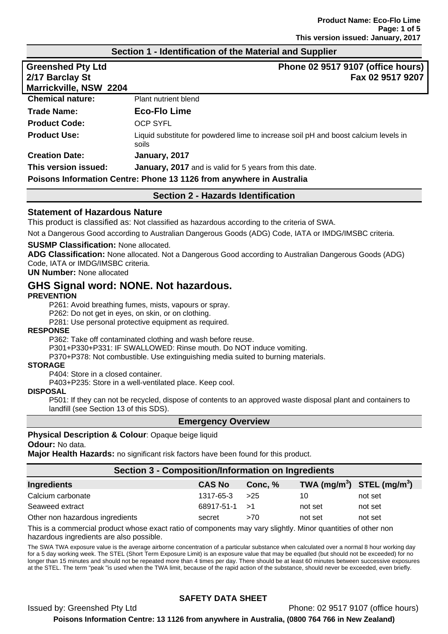#### **Section 1 - Identification of the Material and Supplier**

| <b>Greenshed Pty Ltd</b><br>2/17 Barclay St | Phone 02 9517 9107 (office hours)<br>Fax 02 9517 9207                                        |  |
|---------------------------------------------|----------------------------------------------------------------------------------------------|--|
| Marrickville, NSW 2204                      |                                                                                              |  |
| <b>Chemical nature:</b>                     | Plant nutrient blend                                                                         |  |
| <b>Trade Name:</b>                          | <b>Eco-Flo Lime</b>                                                                          |  |
| <b>Product Code:</b>                        | <b>OCP SYFL</b>                                                                              |  |
| <b>Product Use:</b>                         | Liquid substitute for powdered lime to increase soil pH and boost calcium levels in<br>soils |  |
| <b>Creation Date:</b>                       | January, 2017                                                                                |  |
| This version issued:                        | <b>January, 2017</b> and is valid for 5 years from this date.                                |  |
|                                             | Poisons Information Centre: Phone 13 1126 from anywhere in Australia                         |  |
| <b>Section 2 - Hazards Identification</b>   |                                                                                              |  |

#### **Statement of Hazardous Nature**

This product is classified as: Not classified as hazardous according to the criteria of SWA.

Not a Dangerous Good according to Australian Dangerous Goods (ADG) Code, IATA or IMDG/IMSBC criteria.

#### **SUSMP Classification:** None allocated.

**ADG Classification:** None allocated. Not a Dangerous Good according to Australian Dangerous Goods (ADG) Code, IATA or IMDG/IMSBC criteria.

**UN Number:** None allocated

# **GHS Signal word: NONE. Not hazardous.**

#### **PREVENTION**

P261: Avoid breathing fumes, mists, vapours or spray.

P262: Do not get in eyes, on skin, or on clothing.

P281: Use personal protective equipment as required.

#### **RESPONSE**

P362: Take off contaminated clothing and wash before reuse.

P301+P330+P331: IF SWALLOWED: Rinse mouth. Do NOT induce vomiting.

P370+P378: Not combustible. Use extinguishing media suited to burning materials.

#### **STORAGE**

P404: Store in a closed container.

P403+P235: Store in a well-ventilated place. Keep cool.

#### **DISPOSAL**

P501: If they can not be recycled, dispose of contents to an approved waste disposal plant and containers to landfill (see Section 13 of this SDS).

#### **Emergency Overview**

## **Physical Description & Colour**: Opaque beige liquid **Odour:** No data.

**Major Health Hazards:** no significant risk factors have been found for this product.

#### **Section 3 - Composition/Information on Ingredients**

| <b>Ingredients</b>              | <b>CAS No</b>        | Conc. % | TWA $(mg/m^3)$ STEL $(mg/m^3)$ |         |
|---------------------------------|----------------------|---------|--------------------------------|---------|
| Calcium carbonate               | 1317-65-3            | >25     | 10                             | not set |
| Seaweed extract                 | $68917 - 51 - 1 > 1$ |         | not set                        | not set |
| Other non hazardous ingredients | secret               | >70     | not set                        | not set |
|                                 |                      |         |                                |         |

This is a commercial product whose exact ratio of components may vary slightly. Minor quantities of other non hazardous ingredients are also possible.

The SWA TWA exposure value is the average airborne concentration of a particular substance when calculated over a normal 8 hour working day for a 5 day working week. The STEL (Short Term Exposure Limit) is an exposure value that may be equalled (but should not be exceeded) for no longer than 15 minutes and should not be repeated more than 4 times per day. There should be at least 60 minutes between successive exposures at the STEL. The term "peak "is used when the TWA limit, because of the rapid action of the substance, should never be exceeded, even briefly.

# **SAFETY DATA SHEET**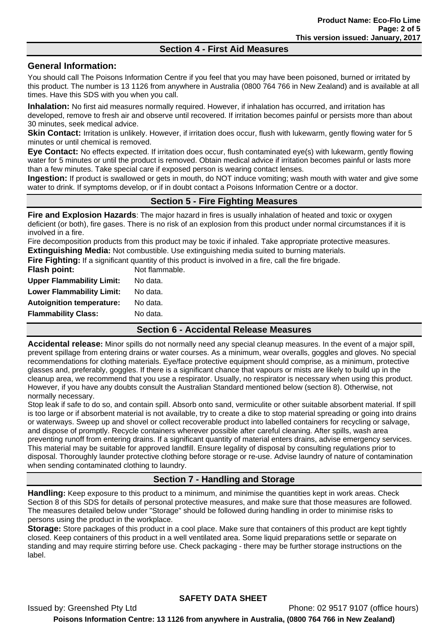# **Section 4 - First Aid Measures**

# **General Information:**

You should call The Poisons Information Centre if you feel that you may have been poisoned, burned or irritated by this product. The number is 13 1126 from anywhere in Australia (0800 764 766 in New Zealand) and is available at all times. Have this SDS with you when you call.

**Inhalation:** No first aid measures normally required. However, if inhalation has occurred, and irritation has developed, remove to fresh air and observe until recovered. If irritation becomes painful or persists more than about 30 minutes, seek medical advice.

**Skin Contact:** Irritation is unlikely. However, if irritation does occur, flush with lukewarm, gently flowing water for 5 minutes or until chemical is removed.

**Eye Contact:** No effects expected. If irritation does occur, flush contaminated eye(s) with lukewarm, gently flowing water for 5 minutes or until the product is removed. Obtain medical advice if irritation becomes painful or lasts more than a few minutes. Take special care if exposed person is wearing contact lenses.

**Ingestion:** If product is swallowed or gets in mouth, do NOT induce vomiting; wash mouth with water and give some water to drink. If symptoms develop, or if in doubt contact a Poisons Information Centre or a doctor.

# **Section 5 - Fire Fighting Measures**

**Fire and Explosion Hazards**: The major hazard in fires is usually inhalation of heated and toxic or oxygen deficient (or both), fire gases. There is no risk of an explosion from this product under normal circumstances if it is involved in a fire.

Fire decomposition products from this product may be toxic if inhaled. Take appropriate protective measures.

**Extinguishing Media:** Not combustible. Use extinguishing media suited to burning materials. **Fighting:** If a significant quantity of this product is involved in a fire

|                                  | .<br>- -                                                                                                      |
|----------------------------------|---------------------------------------------------------------------------------------------------------------|
|                                  |                                                                                                               |
| <b>Flammability Class:</b>       | No data.                                                                                                      |
| <b>Autoignition temperature:</b> | No data.                                                                                                      |
| <b>Lower Flammability Limit:</b> | No data.                                                                                                      |
|                                  |                                                                                                               |
| <b>Upper Flammability Limit:</b> | No data.                                                                                                      |
| Flash point:                     | Not flammable.                                                                                                |
|                                  | <b>Fire Fighting:</b> If a significant quantity of this product is involved in a fire, call the fire prigade. |

## **Section 6 - Accidental Release Measures**

**Accidental release:** Minor spills do not normally need any special cleanup measures. In the event of a major spill, prevent spillage from entering drains or water courses. As a minimum, wear overalls, goggles and gloves. No special recommendations for clothing materials. Eye/face protective equipment should comprise, as a minimum, protective glasses and, preferably, goggles. If there is a significant chance that vapours or mists are likely to build up in the cleanup area, we recommend that you use a respirator. Usually, no respirator is necessary when using this product. However, if you have any doubts consult the Australian Standard mentioned below (section 8). Otherwise, not normally necessary.

Stop leak if safe to do so, and contain spill. Absorb onto sand, vermiculite or other suitable absorbent material. If spill is too large or if absorbent material is not available, try to create a dike to stop material spreading or going into drains or waterways. Sweep up and shovel or collect recoverable product into labelled containers for recycling or salvage, and dispose of promptly. Recycle containers wherever possible after careful cleaning. After spills, wash area preventing runoff from entering drains. If a significant quantity of material enters drains, advise emergency services. This material may be suitable for approved landfill. Ensure legality of disposal by consulting regulations prior to disposal. Thoroughly launder protective clothing before storage or re-use. Advise laundry of nature of contamination when sending contaminated clothing to laundry.

# **Section 7 - Handling and Storage**

**Handling:** Keep exposure to this product to a minimum, and minimise the quantities kept in work areas. Check Section 8 of this SDS for details of personal protective measures, and make sure that those measures are followed. The measures detailed below under "Storage" should be followed during handling in order to minimise risks to persons using the product in the workplace.

**Storage:** Store packages of this product in a cool place. Make sure that containers of this product are kept tightly closed. Keep containers of this product in a well ventilated area. Some liquid preparations settle or separate on standing and may require stirring before use. Check packaging - there may be further storage instructions on the label.

Issued by: Greenshed Pty Ltd Phone: 02 9517 9107 (office hours)

**Poisons Information Centre: 13 1126 from anywhere in Australia, (0800 764 766 in New Zealand)**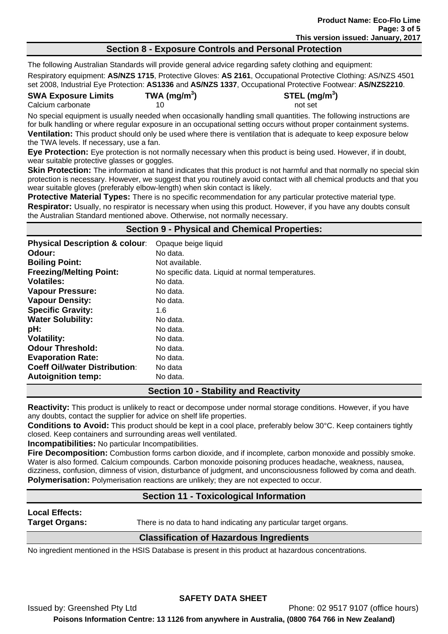#### **Section 8 - Exposure Controls and Personal Protection**

The following Australian Standards will provide general advice regarding safety clothing and equipment: Respiratory equipment: **AS/NZS 1715**, Protective Gloves: **AS 2161**, Occupational Protective Clothing: AS/NZS 4501 set 2008, Industrial Eye Protection: **AS1336** and **AS/NZS 1337**, Occupational Protective Footwear: **AS/NZS2210**.

**SWA Exposure Limits TWA (mg/m<sup>3</sup>**

Calcium carbonate **10** not set

**) STEL (mg/m<sup>3</sup> )** 

No special equipment is usually needed when occasionally handling small quantities. The following instructions are for bulk handling or where regular exposure in an occupational setting occurs without proper containment systems. **Ventilation:** This product should only be used where there is ventilation that is adequate to keep exposure below the TWA levels. If necessary, use a fan.

**Eye Protection:** Eye protection is not normally necessary when this product is being used. However, if in doubt, wear suitable protective glasses or goggles.

**Skin Protection:** The information at hand indicates that this product is not harmful and that normally no special skin protection is necessary. However, we suggest that you routinely avoid contact with all chemical products and that you wear suitable gloves (preferably elbow-length) when skin contact is likely.

**Protective Material Types:** There is no specific recommendation for any particular protective material type. **Respirator:** Usually, no respirator is necessary when using this product. However, if you have any doubts consult the Australian Standard mentioned above. Otherwise, not normally necessary.

# **Section 9 - Physical and Chemical Properties:**

| <b>Physical Description &amp; colour:</b> | Opaque beige liquid                              |
|-------------------------------------------|--------------------------------------------------|
| Odour:                                    | No data.                                         |
| <b>Boiling Point:</b>                     | Not available.                                   |
| <b>Freezing/Melting Point:</b>            | No specific data. Liquid at normal temperatures. |
| <b>Volatiles:</b>                         | No data.                                         |
| <b>Vapour Pressure:</b>                   | No data.                                         |
| <b>Vapour Density:</b>                    | No data.                                         |
| <b>Specific Gravity:</b>                  | 1.6                                              |
| <b>Water Solubility:</b>                  | No data.                                         |
| pH:                                       | No data.                                         |
| <b>Volatility:</b>                        | No data.                                         |
| <b>Odour Threshold:</b>                   | No data.                                         |
| <b>Evaporation Rate:</b>                  | No data.                                         |
| <b>Coeff Oil/water Distribution:</b>      | No data                                          |
| <b>Autoignition temp:</b>                 | No data.                                         |

## **Section 10 - Stability and Reactivity**

**Reactivity:** This product is unlikely to react or decompose under normal storage conditions. However, if you have any doubts, contact the supplier for advice on shelf life properties.

**Conditions to Avoid:** This product should be kept in a cool place, preferably below 30°C. Keep containers tightly closed. Keep containers and surrounding areas well ventilated.

**Incompatibilities:** No particular Incompatibilities.

**Fire Decomposition:** Combustion forms carbon dioxide, and if incomplete, carbon monoxide and possibly smoke. Water is also formed. Calcium compounds. Carbon monoxide poisoning produces headache, weakness, nausea, dizziness, confusion, dimness of vision, disturbance of judgment, and unconsciousness followed by coma and death. **Polymerisation:** Polymerisation reactions are unlikely; they are not expected to occur.

## **Section 11 - Toxicological Information**

**Local Effects:** 

**Target Organs:** There is no data to hand indicating any particular target organs.

## **Classification of Hazardous Ingredients**

No ingredient mentioned in the HSIS Database is present in this product at hazardous concentrations.

## **SAFETY DATA SHEET**

Issued by: Greenshed Pty Ltd Phone: 02 9517 9107 (office hours)

**Poisons Information Centre: 13 1126 from anywhere in Australia, (0800 764 766 in New Zealand)**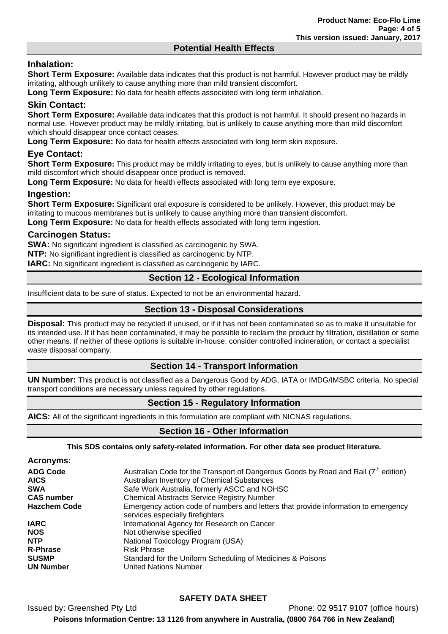#### **Potential Health Effects**

# **Inhalation:**

**Short Term Exposure:** Available data indicates that this product is not harmful. However product may be mildly irritating, although unlikely to cause anything more than mild transient discomfort.

**Long Term Exposure:** No data for health effects associated with long term inhalation.

# **Skin Contact:**

**Short Term Exposure:** Available data indicates that this product is not harmful. It should present no hazards in normal use. However product may be mildly irritating, but is unlikely to cause anything more than mild discomfort which should disappear once contact ceases.

**Long Term Exposure:** No data for health effects associated with long term skin exposure.

# **Eye Contact:**

**Short Term Exposure:** This product may be mildly irritating to eyes, but is unlikely to cause anything more than mild discomfort which should disappear once product is removed.

**Long Term Exposure:** No data for health effects associated with long term eye exposure.

## **Ingestion:**

**Short Term Exposure:** Significant oral exposure is considered to be unlikely. However, this product may be irritating to mucous membranes but is unlikely to cause anything more than transient discomfort.

**Long Term Exposure:** No data for health effects associated with long term ingestion.

#### **Carcinogen Status:**

**SWA:** No significant ingredient is classified as carcinogenic by SWA.

**NTP:** No significant ingredient is classified as carcinogenic by NTP.

**IARC:** No significant ingredient is classified as carcinogenic by IARC.

## **Section 12 - Ecological Information**

Insufficient data to be sure of status. Expected to not be an environmental hazard.

## **Section 13 - Disposal Considerations**

**Disposal:** This product may be recycled if unused, or if it has not been contaminated so as to make it unsuitable for its intended use. If it has been contaminated, it may be possible to reclaim the product by filtration, distillation or some other means. If neither of these options is suitable in-house, consider controlled incineration, or contact a specialist waste disposal company.

## **Section 14 - Transport Information**

**UN Number:** This product is not classified as a Dangerous Good by ADG, IATA or IMDG/IMSBC criteria. No special transport conditions are necessary unless required by other regulations.

## **Section 15 - Regulatory Information**

**AICS:** All of the significant ingredients in this formulation are compliant with NICNAS regulations.

## **Section 16 - Other Information**

**This SDS contains only safety-related information. For other data see product literature.** 

| <b>Acronyms:</b>    |                                                                                                                         |
|---------------------|-------------------------------------------------------------------------------------------------------------------------|
| <b>ADG Code</b>     | Australian Code for the Transport of Dangerous Goods by Road and Rail (7 <sup>th</sup> edition)                         |
| <b>AICS</b>         | Australian Inventory of Chemical Substances                                                                             |
| <b>SWA</b>          | Safe Work Australia, formerly ASCC and NOHSC                                                                            |
| <b>CAS number</b>   | <b>Chemical Abstracts Service Registry Number</b>                                                                       |
| <b>Hazchem Code</b> | Emergency action code of numbers and letters that provide information to emergency<br>services especially fire fighters |
| <b>IARC</b>         | International Agency for Research on Cancer                                                                             |
| <b>NOS</b>          | Not otherwise specified                                                                                                 |
| <b>NTP</b>          | National Toxicology Program (USA)                                                                                       |
| <b>R-Phrase</b>     | <b>Risk Phrase</b>                                                                                                      |
| <b>SUSMP</b>        | Standard for the Uniform Scheduling of Medicines & Poisons                                                              |
| <b>UN Number</b>    | <b>United Nations Number</b>                                                                                            |

## **SAFETY DATA SHEET**

Issued by: Greenshed Pty Ltd Phone: 02 9517 9107 (office hours) **Poisons Information Centre: 13 1126 from anywhere in Australia, (0800 764 766 in New Zealand)**